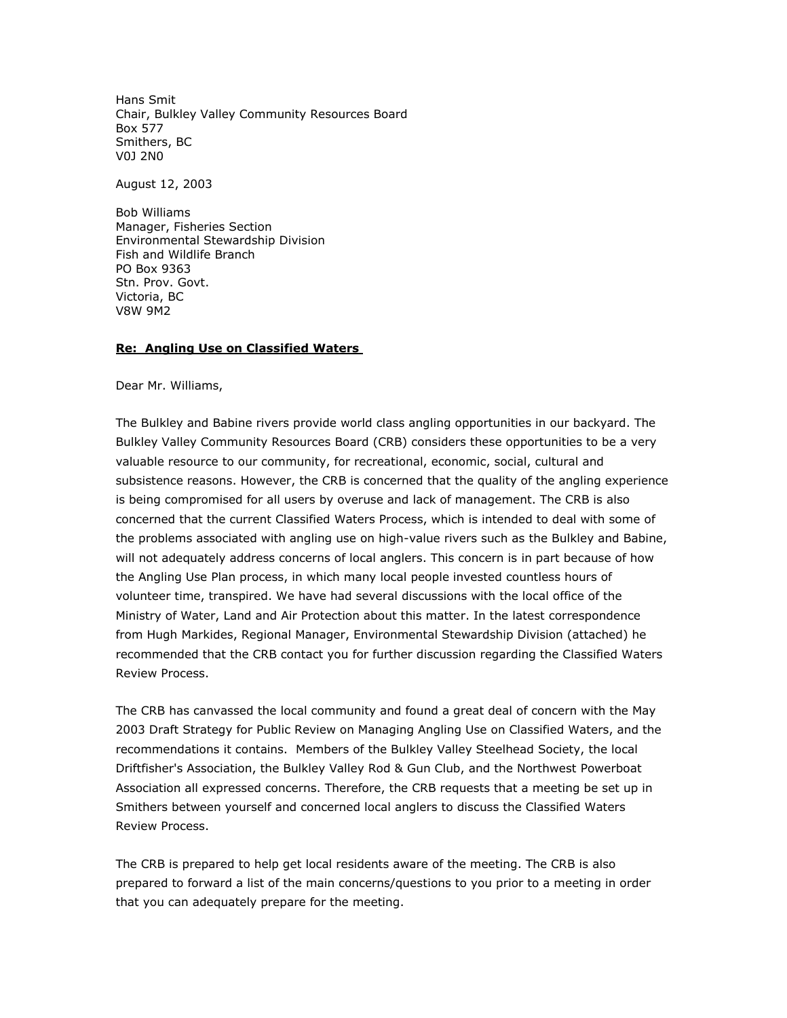Hans Smit Chair, Bulkley Valley Community Resources Board Box 577 Smithers, BC V0J 2N0

August 12, 2003

Bob Williams Manager, Fisheries Section Environmental Stewardship Division Fish and Wildlife Branch PO Box 9363 Stn. Prov. Govt. Victoria, BC V8W 9M2

## **Re: Angling Use on Classified Waters**

Dear Mr. Williams,

The Bulkley and Babine rivers provide world class angling opportunities in our backyard. The Bulkley Valley Community Resources Board (CRB) considers these opportunities to be a very valuable resource to our community, for recreational, economic, social, cultural and subsistence reasons. However, the CRB is concerned that the quality of the angling experience is being compromised for all users by overuse and lack of management. The CRB is also concerned that the current Classified Waters Process, which is intended to deal with some of the problems associated with angling use on high-value rivers such as the Bulkley and Babine, will not adequately address concerns of local anglers. This concern is in part because of how the Angling Use Plan process, in which many local people invested countless hours of volunteer time, transpired. We have had several discussions with the local office of the Ministry of Water, Land and Air Protection about this matter. In the latest correspondence from Hugh Markides, Regional Manager, Environmental Stewardship Division (attached) he recommended that the CRB contact you for further discussion regarding the Classified Waters Review Process.

The CRB has canvassed the local community and found a great deal of concern with the May 2003 Draft Strategy for Public Review on Managing Angling Use on Classified Waters, and the recommendations it contains. Members of the Bulkley Valley Steelhead Society, the local Driftfisher's Association, the Bulkley Valley Rod & Gun Club, and the Northwest Powerboat Association all expressed concerns. Therefore, the CRB requests that a meeting be set up in Smithers between yourself and concerned local anglers to discuss the Classified Waters Review Process.

The CRB is prepared to help get local residents aware of the meeting. The CRB is also prepared to forward a list of the main concerns/questions to you prior to a meeting in order that you can adequately prepare for the meeting.